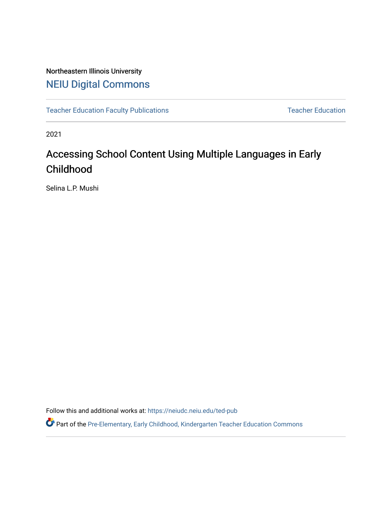# Northeastern Illinois University [NEIU Digital Commons](https://neiudc.neiu.edu/)

[Teacher Education Faculty Publications](https://neiudc.neiu.edu/ted-pub) [Teacher Education](https://neiudc.neiu.edu/ted) Teacher Education

2021

# Accessing School Content Using Multiple Languages in Early Childhood

Selina L.P. Mushi

Follow this and additional works at: [https://neiudc.neiu.edu/ted-pub](https://neiudc.neiu.edu/ted-pub?utm_source=neiudc.neiu.edu%2Fted-pub%2F8&utm_medium=PDF&utm_campaign=PDFCoverPages)

Part of the [Pre-Elementary, Early Childhood, Kindergarten Teacher Education Commons](https://network.bepress.com/hgg/discipline/808?utm_source=neiudc.neiu.edu%2Fted-pub%2F8&utm_medium=PDF&utm_campaign=PDFCoverPages)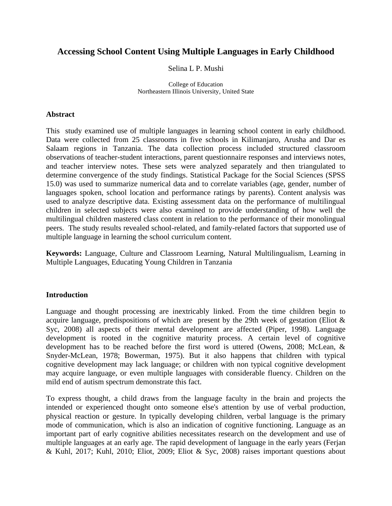### **Accessing School Content Using Multiple Languages in Early Childhood**

#### Selina L P. Mushi

College of Education Northeastern Illinois University, United State

#### **Abstract**

This study examined use of multiple languages in learning school content in early childhood. Data were collected from 25 classrooms in five schools in Kilimanjaro, Arusha and Dar es Salaam regions in Tanzania. The data collection process included structured classroom observations of teacher-student interactions, parent questionnaire responses and interviews notes, and teacher interview notes. These sets were analyzed separately and then triangulated to determine convergence of the study findings. Statistical Package for the Social Sciences (SPSS 15.0) was used to summarize numerical data and to correlate variables (age, gender, number of languages spoken, school location and performance ratings by parents). Content analysis was used to analyze descriptive data. Existing assessment data on the performance of multilingual children in selected subjects were also examined to provide understanding of how well the multilingual children mastered class content in relation to the performance of their monolingual peers. The study results revealed school-related, and family-related factors that supported use of multiple language in learning the school curriculum content.

**Keywords:** Language, Culture and Classroom Learning, Natural Multilingualism, Learning in Multiple Languages, Educating Young Children in Tanzania

#### **Introduction**

Language and thought processing are inextricably linked. From the time children begin to acquire language, predispositions of which are present by the 29th week of gestation (Eliot & Syc, 2008) all aspects of their mental development are affected (Piper, 1998). Language development is rooted in the cognitive maturity process. A certain level of cognitive development has to be reached before the first word is uttered (Owens, 2008; McLean, & Snyder-McLean, 1978; Bowerman, 1975). But it also happens that children with typical cognitive development may lack language; or children with non typical cognitive development may acquire language, or even multiple languages with considerable fluency. Children on the mild end of autism spectrum demonstrate this fact.

To express thought, a child draws from the language faculty in the brain and projects the intended or experienced thought onto someone else's attention by use of verbal production, physical reaction or gesture. In typically developing children, verbal language is the primary mode of communication, which is also an indication of cognitive functioning. Language as an important part of early cognitive abilities necessitates research on the development and use of multiple languages at an early age. The rapid development of language in the early years (Ferjan & Kuhl, 2017; Kuhl, 2010; Eliot, 2009; Eliot & Syc, 2008) raises important questions about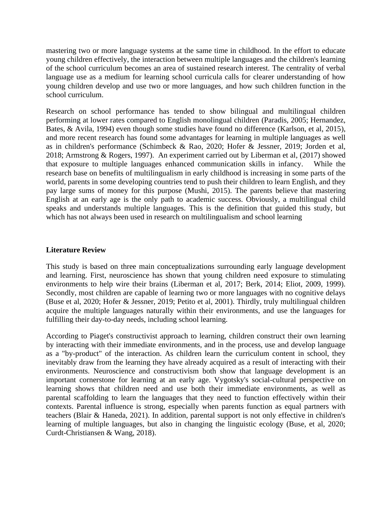mastering two or more language systems at the same time in childhood. In the effort to educate young children effectively, the interaction between multiple languages and the children's learning of the school curriculum becomes an area of sustained research interest. The centrality of verbal language use as a medium for learning school curricula calls for clearer understanding of how young children develop and use two or more languages, and how such children function in the school curriculum.

Research on school performance has tended to show bilingual and multilingual children performing at lower rates compared to English monolingual children (Paradis, 2005; Hernandez, Bates, & Avila, 1994) even though some studies have found no difference (Karlson, et al, 2015), and more recent research has found some advantages for learning in multiple languages as well as in children's performance (Schimbeck & Rao, 2020; Hofer & Jessner, 2019; Jorden et al, 2018; Armstrong & Rogers, 1997). An experiment carried out by Liberman et al, (2017) showed that exposure to multiple languages enhanced communication skills in infancy. While the research base on benefits of multilingualism in early childhood is increasing in some parts of the world, parents in some developing countries tend to push their children to learn English, and they pay large sums of money for this purpose (Mushi, 2015). The parents believe that mastering English at an early age is the only path to academic success. Obviously, a multilingual child speaks and understands multiple languages. This is the definition that guided this study, but which has not always been used in research on multilingualism and school learning

#### **Literature Review**

This study is based on three main conceptualizations surrounding early language development and learning. First, neuroscience has shown that young children need exposure to stimulating environments to help wire their brains (Liberman et al, 2017; Berk, 2014; Eliot, 2009, 1999). Secondly, most children are capable of learning two or more languages with no cognitive delays (Buse et al, 2020; Hofer & Jessner, 2019; Petito et al, 2001). Thirdly, truly multilingual children acquire the multiple languages naturally within their environments, and use the languages for fulfilling their day-to-day needs, including school learning.

According to Piaget's constructivist approach to learning, children construct their own learning by interacting with their immediate environments, and in the process, use and develop language as a "by-product" of the interaction. As children learn the curriculum content in school, they inevitably draw from the learning they have already acquired as a result of interacting with their environments. Neuroscience and constructivism both show that language development is an important cornerstone for learning at an early age. Vygotsky's social-cultural perspective on learning shows that children need and use both their immediate environments, as well as parental scaffolding to learn the languages that they need to function effectively within their contexts. Parental influence is strong, especially when parents function as equal partners with teachers (Blair & Haneda, 2021). In addition, parental support is not only effective in children's learning of multiple languages, but also in changing the linguistic ecology (Buse, et al, 2020; Curdt-Christiansen & Wang, 2018).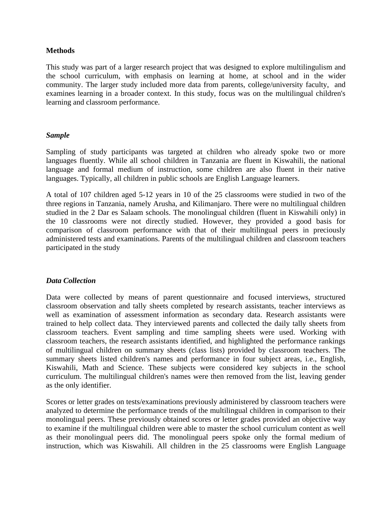#### **Methods**

This study was part of a larger research project that was designed to explore multilingulism and the school curriculum, with emphasis on learning at home, at school and in the wider community. The larger study included more data from parents, college/university faculty, and examines learning in a broader context. In this study, focus was on the multilingual children's learning and classroom performance.

#### *Sample*

Sampling of study participants was targeted at children who already spoke two or more languages fluently. While all school children in Tanzania are fluent in Kiswahili, the national language and formal medium of instruction, some children are also fluent in their native languages. Typically, all children in public schools are English Language learners.

A total of 107 children aged 5-12 years in 10 of the 25 classrooms were studied in two of the three regions in Tanzania, namely Arusha, and Kilimanjaro. There were no multilingual children studied in the 2 Dar es Salaam schools. The monolingual children (fluent in Kiswahili only) in the 10 classrooms were not directly studied. However, they provided a good basis for comparison of classroom performance with that of their multilingual peers in preciously administered tests and examinations. Parents of the multilingual children and classroom teachers participated in the study

#### *Data Collection*

Data were collected by means of parent questionnaire and focused interviews, structured classroom observation and tally sheets completed by research assistants, teacher interviews as well as examination of assessment information as secondary data. Research assistants were trained to help collect data. They interviewed parents and collected the daily tally sheets from classroom teachers. Event sampling and time sampling sheets were used. Working with classroom teachers, the research assistants identified, and highlighted the performance rankings of multilingual children on summary sheets (class lists) provided by classroom teachers. The summary sheets listed children's names and performance in four subject areas, i.e., English, Kiswahili, Math and Science. These subjects were considered key subjects in the school curriculum. The multilingual children's names were then removed from the list, leaving gender as the only identifier.

Scores or letter grades on tests/examinations previously administered by classroom teachers were analyzed to determine the performance trends of the multilingual children in comparison to their monolingual peers. These previously obtained scores or letter grades provided an objective way to examine if the multilingual children were able to master the school curriculum content as well as their monolingual peers did. The monolingual peers spoke only the formal medium of instruction, which was Kiswahili. All children in the 25 classrooms were English Language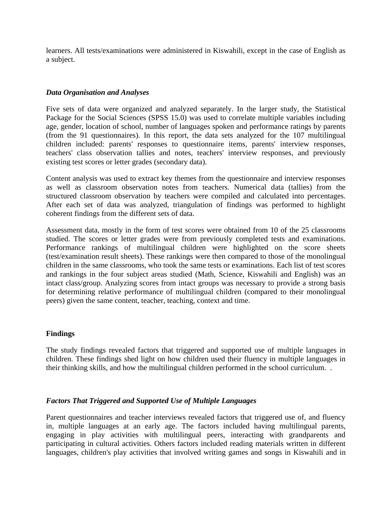learners. All tests/examinations were administered in Kiswahili, except in the case of English as a subject.

#### *Data Organisation and Analyses*

Five sets of data were organized and analyzed separately. In the larger study, the Statistical Package for the Social Sciences (SPSS 15.0) was used to correlate multiple variables including age, gender, location of school, number of languages spoken and performance ratings by parents (from the 91 questionnaires). In this report, the data sets analyzed for the 107 multilingual children included: parents' responses to questionnaire items, parents' interview responses, teachers' class observation tallies and notes, teachers' interview responses, and previously existing test scores or letter grades (secondary data).

Content analysis was used to extract key themes from the questionnaire and interview responses as well as classroom observation notes from teachers. Numerical data (tallies) from the structured classroom observation by teachers were compiled and calculated into percentages. After each set of data was analyzed, triangulation of findings was performed to highlight coherent findings from the different sets of data.

Assessment data, mostly in the form of test scores were obtained from 10 of the 25 classrooms studied. The scores or letter grades were from previously completed tests and examinations. Performance rankings of multilingual children were highlighted on the score sheets (test/examination result sheets). These rankings were then compared to those of the monolingual children in the same classrooms, who took the same tests or examinations. Each list of test scores and rankings in the four subject areas studied (Math, Science, Kiswahili and English) was an intact class/group. Analyzing scores from intact groups was necessary to provide a strong basis for determining relative performance of multilingual children (compared to their monolingual peers) given the same content, teacher, teaching, context and time.

#### **Findings**

The study findings revealed factors that triggered and supported use of multiple languages in children. These findings shed light on how children used their fluency in multiple languages in their thinking skills, and how the multilingual children performed in the school curriculum. .

#### *Factors That Triggered and Supported Use of Multiple Languages*

Parent questionnaires and teacher interviews revealed factors that triggered use of, and fluency in, multiple languages at an early age. The factors included having multilingual parents, engaging in play activities with multilingual peers, interacting with grandparents and participating in cultural activities. Others factors included reading materials written in different languages, children's play activities that involved writing games and songs in Kiswahili and in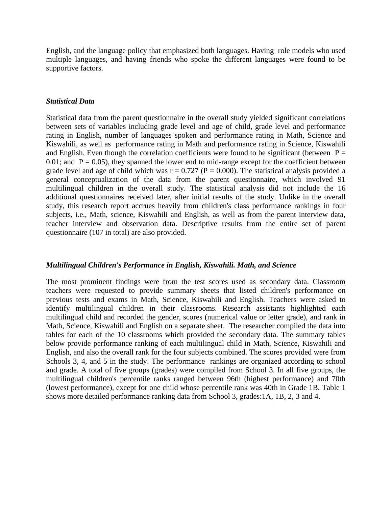English, and the language policy that emphasized both languages. Having role models who used multiple languages, and having friends who spoke the different languages were found to be supportive factors.

#### *Statistical Data*

Statistical data from the parent questionnaire in the overall study yielded significant correlations between sets of variables including grade level and age of child, grade level and performance rating in English, number of languages spoken and performance rating in Math, Science and Kiswahili, as well as performance rating in Math and performance rating in Science, Kiswahili and English. Even though the correlation coefficients were found to be significant (between  $P =$ 0.01; and  $P = 0.05$ ), they spanned the lower end to mid-range except for the coefficient between grade level and age of child which was  $r = 0.727$  ( $P = 0.000$ ). The statistical analysis provided a general conceptualization of the data from the parent questionnaire, which involved 91 multilingual children in the overall study. The statistical analysis did not include the 16 additional questionnaires received later, after initial results of the study. Unlike in the overall study, this research report accrues heavily from children's class performance rankings in four subjects, i.e., Math, science, Kiswahili and English, as well as from the parent interview data, teacher interview and observation data. Descriptive results from the entire set of parent questionnaire (107 in total) are also provided.

#### *Multilingual Children's Performance in English, Kiswahili. Math, and Science*

The most prominent findings were from the test scores used as secondary data. Classroom teachers were requested to provide summary sheets that listed children's performance on previous tests and exams in Math, Science, Kiswahili and English. Teachers were asked to identify multilingual children in their classrooms. Research assistants highlighted each multilingual child and recorded the gender, scores (numerical value or letter grade), and rank in Math, Science, Kiswahili and English on a separate sheet. The researcher compiled the data into tables for each of the 10 classrooms which provided the secondary data. The summary tables below provide performance ranking of each multilingual child in Math, Science, Kiswahili and English, and also the overall rank for the four subjects combined. The scores provided were from Schools 3, 4, and 5 in the study. The performance rankings are organized according to school and grade. A total of five groups (grades) were compiled from School 3. In all five groups, the multilingual children's percentile ranks ranged between 96th (highest performance) and 70th (lowest performance), except for one child whose percentile rank was 40th in Grade 1B. Table 1 shows more detailed performance ranking data from School 3, grades:1A, 1B, 2, 3 and 4.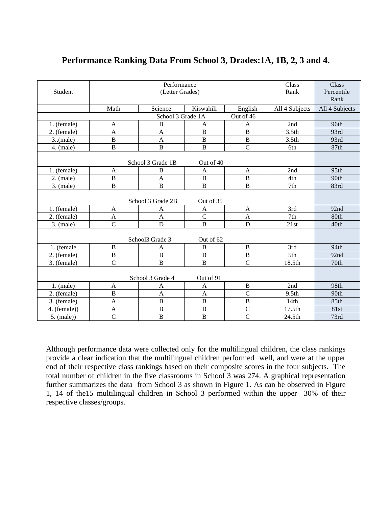|                                |                      |                   |                |                |                   | Class          |  |  |
|--------------------------------|----------------------|-------------------|----------------|----------------|-------------------|----------------|--|--|
|                                | Performance<br>Class |                   |                |                |                   |                |  |  |
| Student                        |                      | (Letter Grades)   |                |                | Rank              | Percentile     |  |  |
|                                |                      |                   |                |                |                   | Rank           |  |  |
|                                | Math                 | Science           | Kiswahili      | English        | All 4 Subjects    | All 4 Subjects |  |  |
| School 3 Grade 1A<br>Out of 46 |                      |                   |                |                |                   |                |  |  |
| 1. (female)                    | A                    | $\bf{B}$          | $\mathbf{A}$   | $\mathbf{A}$   | 2nd               | 96th           |  |  |
| 2. (female)                    | A                    | A                 | $\, {\bf B}$   | $\bf{B}$       | 3.5 <sub>th</sub> | 93rd           |  |  |
| 3(male)                        | $\, {\bf B}$         | A                 | $\, {\bf B}$   | $\, {\bf B}$   | 3.5 <sub>th</sub> | 93rd           |  |  |
| $4.$ (male)                    | $\overline{B}$       | $\overline{B}$    | $\overline{B}$ | $\overline{C}$ | 6th               | 87th           |  |  |
|                                |                      |                   |                |                |                   |                |  |  |
|                                |                      | School 3 Grade 1B | Out of 40      |                |                   |                |  |  |
| 1. (female)                    | A                    | B                 | A              | $\mathbf{A}$   | 2nd               | 95th           |  |  |
| $2.$ (male)                    | $\, {\bf B}$         | $\mathbf{A}$      | $\, {\bf B}$   | $\bf{B}$       | 4th               | 90th           |  |  |
| 3. (male)                      | $\, {\bf B}$         | $\, {\bf B}$      | $\, {\bf B}$   | $\, {\bf B}$   | 7th               | 83rd           |  |  |
|                                |                      |                   |                |                |                   |                |  |  |
| School 3 Grade 2B<br>Out of 35 |                      |                   |                |                |                   |                |  |  |
| 1. (female)                    | A                    | A                 | A              | $\mathbf{A}$   | 3rd               | 92nd           |  |  |
| 2. (female)                    | $\mathbf{A}$         | $\overline{A}$    | $\overline{C}$ | $\mathbf{A}$   | 7th               | 80th           |  |  |
| $3.$ (male)                    | $\overline{C}$       | $\mathbf D$       | $\, {\bf B}$   | $\mathbf D$    | 21st              | 40th           |  |  |
|                                |                      |                   |                |                |                   |                |  |  |
|                                |                      | School3 Grade 3   | Out of 62      |                |                   |                |  |  |
| 1. (female                     | $\, {\bf B}$         | A                 | B              | $\mathbf B$    | 3rd               | 94th           |  |  |
| 2. (female)                    | $\overline{B}$       | $\overline{B}$    | $\overline{B}$ | $\overline{B}$ | 5th               | 92nd           |  |  |
| 3. (female)                    | $\overline{C}$       | $\overline{B}$    | $\, {\bf B}$   | $\overline{C}$ | 18.5th            | 70th           |  |  |
|                                |                      |                   |                |                |                   |                |  |  |
| School 3 Grade 4<br>Out of 91  |                      |                   |                |                |                   |                |  |  |
| $1.$ (male)                    | A                    | A                 | $\mathbf{A}$   | $\, {\bf B}$   | 2nd               | 98th           |  |  |
| 2. (female)                    | $\overline{B}$       | $\overline{A}$    | $\mathbf{A}$   | $\mathcal{C}$  | 9.5 <sub>th</sub> | 90th           |  |  |
| 3. (female)                    | $\mathbf{A}$         | $\overline{B}$    | $\overline{B}$ | $\overline{B}$ | 14th              | 85th           |  |  |
| 4. (female))                   | A                    | $\, {\bf B}$      | $\, {\bf B}$   | $\mathcal{C}$  | 17.5th            | 81st           |  |  |
| $5.$ (male))                   | $\overline{C}$       | $\overline{B}$    | $\overline{B}$ | $\overline{C}$ | 24.5th            | 73rd           |  |  |

## **Performance Ranking Data From School 3, Drades:1A, 1B, 2, 3 and 4.**

Although performance data were collected only for the multilingual children, the class rankings provide a clear indication that the multilingual children performed well, and were at the upper end of their respective class rankings based on their composite scores in the four subjects. The total number of children in the five classrooms in School 3 was 274. A graphical representation further summarizes the data from School 3 as shown in Figure 1. As can be observed in Figure 1, 14 of the15 multilingual children in School 3 performed within the upper 30% of their respective classes/groups.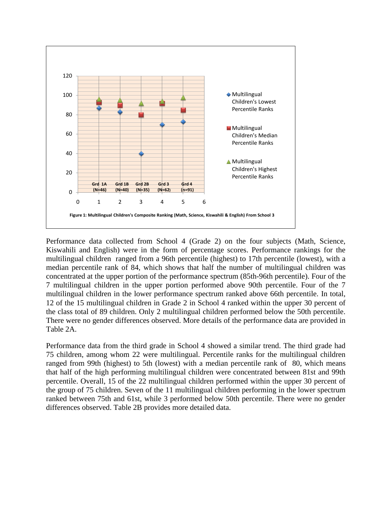

Performance data collected from School 4 (Grade 2) on the four subjects (Math, Science, Kiswahili and English) were in the form of percentage scores. Performance rankings for the multilingual children ranged from a 96th percentile (highest) to 17th percentile (lowest), with a median percentile rank of 84, which shows that half the number of multilingual children was concentrated at the upper portion of the performance spectrum (85th-96th percentile). Four of the 7 multilingual children in the upper portion performed above 90th percentile. Four of the 7 multilingual children in the lower performance spectrum ranked above 66th percentile. In total, 12 of the 15 multilingual children in Grade 2 in School 4 ranked within the upper 30 percent of the class total of 89 children. Only 2 multilingual children performed below the 50th percentile. There were no gender differences observed. More details of the performance data are provided in Table 2A.

Performance data from the third grade in School 4 showed a similar trend. The third grade had 75 children, among whom 22 were multilingual. Percentile ranks for the multilingual children ranged from 99th (highest) to 5th (lowest) with a median percentile rank of 80, which means that half of the high performing multilingual children were concentrated between 81st and 99th percentile. Overall, 15 of the 22 multilingual children performed within the upper 30 percent of the group of 75 children. Seven of the 11 multilingual children performing in the lower spectrum ranked between 75th and 61st, while 3 performed below 50th percentile. There were no gender differences observed. Table 2B provides more detailed data.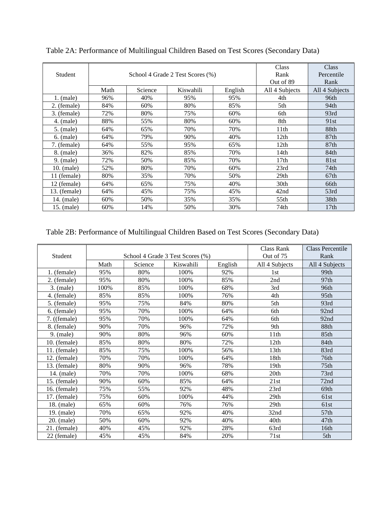| Student      |      | School 4 Grade 2 Test Scores (%) | Class<br>Rank<br>Out of 89 | Class<br>Percentile<br>Rank |                  |                  |
|--------------|------|----------------------------------|----------------------------|-----------------------------|------------------|------------------|
|              | Math | Science                          | Kiswahili                  | English                     | All 4 Subjects   | All 4 Subjects   |
| $1.$ (male)  | 96%  | 40%                              | 95%                        | 95%                         | 4th              | 96th             |
| 2. (female)  | 84%  | 60%                              | 80%                        | 85%                         | 5th              | 94th             |
| 3. (female)  | 72%  | 80%                              | 75%                        | 60%                         | 6th              | 93rd             |
| $4.$ (male)  | 88%  | 55%                              | 80%                        | 60%                         | 8th              | 91st             |
| $5.$ (male)  | 64%  | 65%                              | 70%                        | 70%                         | 11th             | 88th             |
| $6.$ (male)  | 64%  | 79%                              | 90%                        | 40%                         | 12th             | 87 <sub>th</sub> |
| 7. (female)  | 64%  | 55%                              | 95%                        | 65%                         | 12 <sub>th</sub> | 87 <sub>th</sub> |
| 8. (male)    | 36%  | 82%                              | 85%                        | 70%                         | 14th             | 84th             |
| $9.$ (male)  | 72%  | 50%                              | 85%                        | 70%                         | 17th             | 81st             |
| 10. (male)   | 52%  | 80%                              | 70%                        | 60%                         | 23rd             | 74th             |
| 11 (female)  | 80%  | 35%                              | 70%                        | 50%                         | 29th             | 67th             |
| 12 (female)  | 64%  | 65%                              | 75%                        | 40%                         | 30th             | 66th             |
| 13. (female) | 64%  | 45%                              | 75%                        | 45%                         | 42nd             | 53rd             |
| 14. (male)   | 60%  | 50%                              | 35%                        | 35%                         | 55th             | 38th             |
| 15. (male)   | 60%  | 14%                              | 50%                        | 30%                         | 74th             | 17 <sub>th</sub> |

Table 2A: Performance of Multilingual Children Based on Test Scores (Secondary Data)

## Table 2B: Performance of Multilingual Children Based on Test Scores (Secondary Data)

|                |      |         |                                  |         | Class Rank       | <b>Class Percentile</b> |
|----------------|------|---------|----------------------------------|---------|------------------|-------------------------|
| Student        |      |         | School 4 Grade 3 Test Scores (%) |         | Out of 75        | Rank                    |
|                | Math | Science | Kiswahili                        | English | All 4 Subjects   | All 4 Subjects          |
| 1. (female)    | 95%  | 80%     | 100%                             | 92%     | 1 <sub>st</sub>  | 99th                    |
| 2. (female)    | 95%  | 80%     | 100%                             | 85%     | 2nd              | 97 <sub>th</sub>        |
| 3. (male)      | 100% | 85%     | 100%                             | 68%     | 3rd              | 96th                    |
| 4. (female)    | 85%  | 85%     | 100%                             | 76%     | 4th              | 95 <sub>th</sub>        |
| 5. (female)    | 95%  | 75%     | 84%                              | 80%     | 5 <sub>th</sub>  | 93rd                    |
| 6. (female)    | 95%  | 70%     | 100%                             | 64%     | 6th              | 92nd                    |
| $7.$ ((female) | 95%  | 70%     | 100%                             | 64%     | 6th              | 92nd                    |
| 8. (female)    | 90%  | 70%     | 96%                              | 72%     | 9th              | 88th                    |
| $9.$ (male)    | 90%  | 80%     | 96%                              | 60%     | 11 <sup>th</sup> | 85th                    |
| $10.$ (female) | 85%  | 80%     | 80%                              | 72%     | 12th             | 84th                    |
| 11. (female)   | 85%  | 75%     | 100%                             | 56%     | 13th             | 83rd                    |
| $12.$ (female) | 70%  | 70%     | 100%                             | 64%     | 18th             | 76th                    |
| $13.$ (female) | 80%  | 90%     | 96%                              | 78%     | 19th             | 75th                    |
| 14. (male)     | 70%  | 70%     | 100%                             | 68%     | 20 <sup>th</sup> | 73rd                    |
| 15. (female)   | 90%  | 60%     | 85%                              | 64%     | 21st             | 72nd                    |
| 16. (female)   | 75%  | 55%     | 92%                              | 48%     | 23rd             | 69th                    |
| 17. (female)   | 75%  | 60%     | 100%                             | 44%     | 29th             | 61st                    |
| 18. (male)     | 65%  | 60%     | 76%                              | 76%     | 29th             | 61st                    |
| 19. (male)     | 70%  | 65%     | 92%                              | 40%     | 32nd             | 57 <sub>th</sub>        |
| $20.$ (male)   | 50%  | 60%     | 92%                              | 40%     | 40th             | 47th                    |
| 21. (female)   | 40%  | 45%     | 92%                              | 28%     | 63rd             | 16th                    |
| 22 (female)    | 45%  | 45%     | 84%                              | 20%     | 71st             | 5th                     |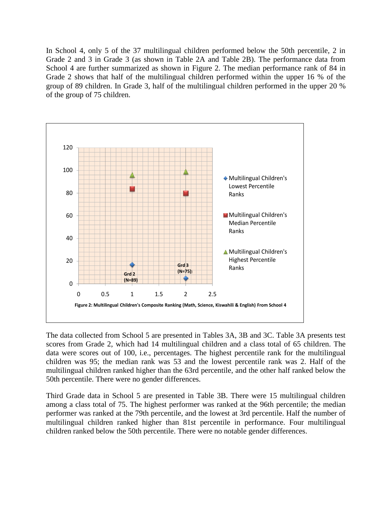In School 4, only 5 of the 37 multilingual children performed below the 50th percentile, 2 in Grade 2 and 3 in Grade 3 (as shown in Table 2A and Table 2B). The performance data from School 4 are further summarized as shown in Figure 2. The median performance rank of 84 in Grade 2 shows that half of the multilingual children performed within the upper 16 % of the group of 89 children. In Grade 3, half of the multilingual children performed in the upper 20 % of the group of 75 children.



The data collected from School 5 are presented in Tables 3A, 3B and 3C. Table 3A presents test scores from Grade 2, which had 14 multilingual children and a class total of 65 children. The data were scores out of 100, i.e., percentages. The highest percentile rank for the multilingual children was 95; the median rank was 53 and the lowest percentile rank was 2. Half of the multilingual children ranked higher than the 63rd percentile, and the other half ranked below the 50th percentile. There were no gender differences.

Third Grade data in School 5 are presented in Table 3B. There were 15 multilingual children among a class total of 75. The highest performer was ranked at the 96th percentile; the median performer was ranked at the 79th percentile, and the lowest at 3rd percentile. Half the number of multilingual children ranked higher than 81st percentile in performance. Four multilingual children ranked below the 50th percentile. There were no notable gender differences.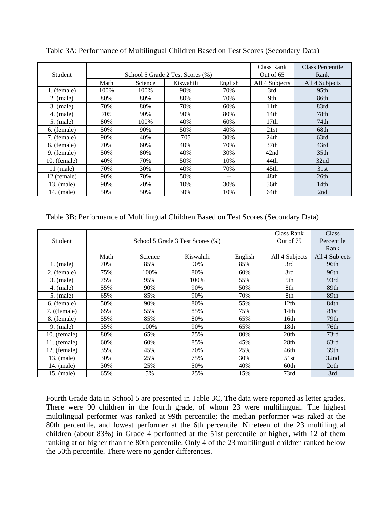| <b>Student</b> |      | School 5 Grade 2 Test Scores (%) | Class Rank<br>Out of $65$ | Class Percentile<br>Rank |                  |                  |
|----------------|------|----------------------------------|---------------------------|--------------------------|------------------|------------------|
|                | Math | Science                          | Kiswahili                 | English                  | All 4 Subjects   | All 4 Subjects   |
| 1. (female)    | 100% | 100%                             | 90%                       | 70%                      | 3rd              | 95 <sub>th</sub> |
| $2.$ (male)    | 80%  | 80%                              | 80%                       | 70%                      | 9th              | 86th             |
| $3.$ (male)    | 70%  | 80%                              | 70%                       | 60%                      | 11th             | 83rd             |
| $4.$ (male)    | 705  | 90%                              | 90%                       | 80%                      | 14th             | 78th             |
| $5.$ (male)    | 80%  | 100%                             | 40%                       | 60%                      | 17th             | 74th             |
| 6. (female)    | 50%  | 90%                              | 50%                       | 40%                      | 21st             | 68th             |
| 7. (female)    | 90%  | 40%                              | 705                       | 30%                      | 24th             | 63rd             |
| 8. (female)    | 70%  | 60%                              | 40%                       | 70%                      | 37 <sub>th</sub> | 43rd             |
| 9. (female)    | 50%  | 80%                              | 40%                       | 30%                      | 42nd             | 35 <sub>th</sub> |
| $10.$ (female) | 40%  | 70%                              | 50%                       | 10%                      | 44th             | 32nd             |
| $11$ (male)    | 70%  | 30%                              | 40%                       | 70%                      | 45th             | 31st             |
| 12 (female)    | 90%  | 70%                              | 50%                       |                          | 48th             | 26th             |
| 13. (male)     | 90%  | 20%                              | 10%                       | 30%                      | 56th             | 14 <sub>th</sub> |
| 14. (male)     | 50%  | 50%                              | 30%                       | 10%                      | 64th             | 2nd              |

Table 3A: Performance of Multilingual Children Based on Test Scores (Secondary Data)

Table 3B: Performance of Multilingual Children Based on Test Scores (Secondary Data)

| Student        |      | School 5 Grade 3 Test Scores (%) | Class Rank<br>Out of 75 | Class<br>Percentile |                |                  |
|----------------|------|----------------------------------|-------------------------|---------------------|----------------|------------------|
|                |      |                                  |                         |                     |                | Rank             |
|                | Math | Science                          | Kiswahili               | English             | All 4 Subjects | All 4 Subjects   |
| $1.$ (male)    | 70%  | 85%                              | 90%                     | 85%                 | 3rd            | 96th             |
| 2. (female)    | 75%  | 100%                             | 80%                     | 60%                 | 3rd            | 96th             |
| 3. (male)      | 75%  | 95%                              | 100%                    | 55%                 | 5th            | 93rd             |
| $4.$ (male)    | 55%  | 90%                              | 90%                     | 50%                 | 8th            | 89th             |
| $5.$ (male)    | 65%  | 85%                              | 90%                     | 70%                 | 8th            | 89th             |
| 6. (female)    | 50%  | 90%                              | 80%                     | 55%                 | 12th           | 84th             |
| $7.$ ((female) | 65%  | 55%                              | 85%                     | 75%                 | 14th           | 81st             |
| 8. (female)    | 55%  | 85%                              | 80%                     | 65%                 | 16th           | 79th             |
| $9.$ (male)    | 35%  | 100%                             | 90%                     | 65%                 | 18th           | 76th             |
| 10. (female)   | 80%  | 65%                              | 75%                     | 80%                 | 20th           | 73rd             |
| 11. (female)   | 60%  | 60%                              | 85%                     | 45%                 | 28th           | 63rd             |
| 12. (female)   | 35%  | 45%                              | 70%                     | 25%                 | 46th           | 39 <sub>th</sub> |
| 13. (male)     | 30%  | 25%                              | 75%                     | 30%                 | 51 st          | 32nd             |
| 14. (male)     | 30%  | 25%                              | 50%                     | 40%                 | 60th           | 2 <sub>oth</sub> |
| 15. (male)     | 65%  | 5%                               | 25%                     | 15%                 | 73rd           | 3rd              |

Fourth Grade data in School 5 are presented in Table 3C, The data were reported as letter grades. There were 90 children in the fourth grade, of whom 23 were multilingual. The highest multilingual performer was ranked at 99th percentile; the median performer was raked at the 80th percentile, and lowest performer at the 6th percentile. Nineteen of the 23 multilingual children (about 83%) in Grade 4 performed at the 51st percentile or higher, with 12 of them ranking at or higher than the 80th percentile. Only 4 of the 23 multilingual children ranked below the 50th percentile. There were no gender differences.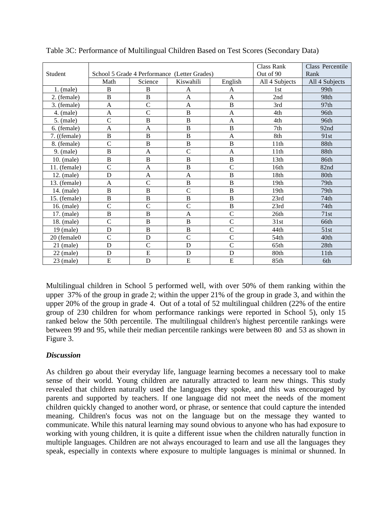|              |                |                |                                              |                | Class Rank       | Class Percentile |
|--------------|----------------|----------------|----------------------------------------------|----------------|------------------|------------------|
| Student      |                |                | School 5 Grade 4 Performance (Letter Grades) |                | Out of 90        | Rank             |
|              | Math           | Science        | Kiswahili                                    | English        | All 4 Subjects   | All 4 Subjects   |
| $1.$ (male)  | B              | B              | A                                            | A              | 1st              | 99th             |
| 2. (female)  | B              | $\, {\bf B}$   | A                                            | $\mathbf{A}$   | 2nd              | 98th             |
| 3. (female)  | A              | $\mathsf{C}$   | $\mathbf{A}$                                 | $\, {\bf B}$   | 3rd              | 97 <sub>th</sub> |
| $4.$ (male)  | A              | $\overline{C}$ | B                                            | A              | 4th              | 96th             |
| $5.$ (male)  | $\overline{C}$ | $\overline{B}$ | $\, {\bf B}$                                 | A              | 4th              | 96th             |
| 6. (female)  | A              | A              | B                                            | B              | 7th              | 92nd             |
| 7. ((female) | $\overline{B}$ | $\, {\bf B}$   | $\, {\bf B}$                                 | A              | 8th              | 91st             |
| 8. (female)  | $\overline{C}$ | B              | B                                            | B              | 11 <sup>th</sup> | 88th             |
| $9.$ (male)  | $\overline{B}$ | $\mathbf{A}$   | $\mathcal{C}$                                | $\overline{A}$ | 11th             | 88th             |
| 10. (male)   | B              | B              | B                                            | $\, {\bf B}$   | 13 <sub>th</sub> | 86th             |
| 11. (female) | $\overline{C}$ | A              | B                                            | $\overline{C}$ | 16th             | 82nd             |
| 12. (male)   | D              | A              | $\mathbf{A}$                                 | $\, {\bf B}$   | 18th             | 80th             |
| 13. (female) | A              | $\overline{C}$ | $\overline{B}$                               | $\overline{B}$ | 19th             | 79th             |
| 14. (male)   | $\overline{B}$ | B              | $\mathcal{C}$                                | B              | 19th             | 79th             |
| 15. (female) | $\overline{B}$ | $\, {\bf B}$   | $\, {\bf B}$                                 | B              | 23rd             | 74 <sub>th</sub> |
| 16. (male)   | $\overline{C}$ | $\overline{C}$ | $\overline{C}$                               | $\, {\bf B}$   | 23rd             | 74 <sub>th</sub> |
| 17. (male)   | B              | $\, {\bf B}$   | A                                            | $\mathcal{C}$  | 26th             | 71st             |
| 18. (male)   | $\overline{C}$ | $\bf{B}$       | $\, {\bf B}$                                 | $\overline{C}$ | 31st             | 66th             |
| $19$ (male)  | D              | $\overline{B}$ | $\bf{B}$                                     | $\overline{C}$ | 44th             | 51st             |
| 20 (female0  | $\overline{C}$ | $\mathbf D$    | $\overline{C}$                               | $\overline{C}$ | 54th             | 40th             |
| $21$ (male)  | D              | $\mathsf{C}$   | D                                            | $\mathcal{C}$  | 65th             | 28th             |
| $22$ (male)  | D              | ${\bf E}$      | D                                            | D              | 80th             | 11th             |
| $23$ (male)  | $\overline{E}$ | D              | E                                            | ${\bf E}$      | 85th             | 6th              |

Table 3C: Performance of Multilingual Children Based on Test Scores (Secondary Data)

Multilingual children in School 5 performed well, with over 50% of them ranking within the upper 37% of the group in grade 2; within the upper 21% of the group in grade 3, and within the upper 20% of the group in grade 4. Out of a total of 52 multilingual children (22% of the entire group of 230 children for whom performance rankings were reported in School 5), only 15 ranked below the 50th percentile. The multilingual children's highest percentile rankings were between 99 and 95, while their median percentile rankings were between 80 and 53 as shown in Figure 3.

#### *Discussion*

As children go about their everyday life, language learning becomes a necessary tool to make sense of their world. Young children are naturally attracted to learn new things. This study revealed that children naturally used the languages they spoke, and this was encouraged by parents and supported by teachers. If one language did not meet the needs of the moment children quickly changed to another word, or phrase, or sentence that could capture the intended meaning. Children's focus was not on the language but on the message they wanted to communicate. While this natural learning may sound obvious to anyone who has had exposure to working with young children, it is quite a different issue when the children naturally function in multiple languages. Children are not always encouraged to learn and use all the languages they speak, especially in contexts where exposure to multiple languages is minimal or shunned. In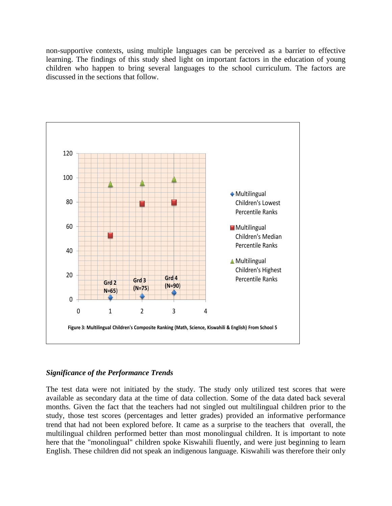non-supportive contexts, using multiple languages can be perceived as a barrier to effective learning. The findings of this study shed light on important factors in the education of young children who happen to bring several languages to the school curriculum. The factors are discussed in the sections that follow.



#### *Significance of the Performance Trends*

The test data were not initiated by the study. The study only utilized test scores that were available as secondary data at the time of data collection. Some of the data dated back several months. Given the fact that the teachers had not singled out multilingual children prior to the study, those test scores (percentages and letter grades) provided an informative performance trend that had not been explored before. It came as a surprise to the teachers that overall, the multilingual children performed better than most monolingual children. It is important to note here that the "monolingual" children spoke Kiswahili fluently, and were just beginning to learn English. These children did not speak an indigenous language. Kiswahili was therefore their only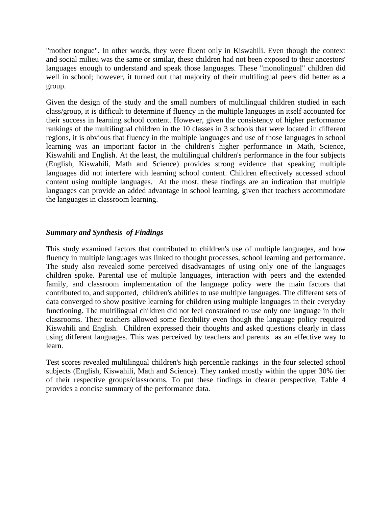"mother tongue". In other words, they were fluent only in Kiswahili. Even though the context and social milieu was the same or similar, these children had not been exposed to their ancestors' languages enough to understand and speak those languages. These "monolingual" children did well in school; however, it turned out that majority of their multilingual peers did better as a group.

Given the design of the study and the small numbers of multilingual children studied in each class/group, it is difficult to determine if fluency in the multiple languages in itself accounted for their success in learning school content. However, given the consistency of higher performance rankings of the multilingual children in the 10 classes in 3 schools that were located in different regions, it is obvious that fluency in the multiple languages and use of those languages in school learning was an important factor in the children's higher performance in Math, Science, Kiswahili and English. At the least, the multilingual children's performance in the four subjects (English, Kiswahili, Math and Science) provides strong evidence that speaking multiple languages did not interfere with learning school content. Children effectively accessed school content using multiple languages. At the most, these findings are an indication that multiple languages can provide an added advantage in school learning, given that teachers accommodate the languages in classroom learning.

#### *Summary and Synthesis of Findings*

This study examined factors that contributed to children's use of multiple languages, and how fluency in multiple languages was linked to thought processes, school learning and performance. The study also revealed some perceived disadvantages of using only one of the languages children spoke. Parental use of multiple languages, interaction with peers and the extended family, and classroom implementation of the language policy were the main factors that contributed to, and supported, children's abilities to use multiple languages. The different sets of data converged to show positive learning for children using multiple languages in their everyday functioning. The multilingual children did not feel constrained to use only one language in their classrooms. Their teachers allowed some flexibility even though the language policy required Kiswahili and English. Children expressed their thoughts and asked questions clearly in class using different languages. This was perceived by teachers and parents as an effective way to learn.

Test scores revealed multilingual children's high percentile rankings in the four selected school subjects (English, Kiswahili, Math and Science). They ranked mostly within the upper 30% tier of their respective groups/classrooms. To put these findings in clearer perspective, Table 4 provides a concise summary of the performance data.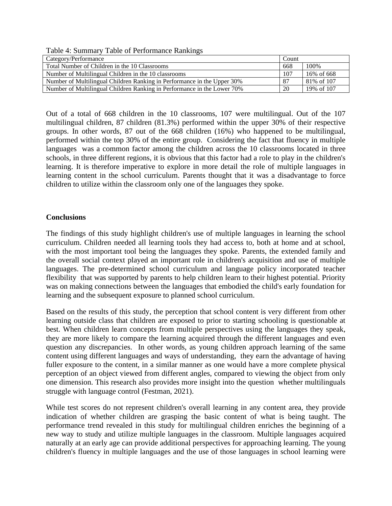Table 4: Summary Table of Performance Rankings

| Category/Performance                                                    | Count |             |
|-------------------------------------------------------------------------|-------|-------------|
| Total Number of Children in the 10 Classrooms                           | 668   | 100%        |
| Number of Multilingual Children in the 10 classrooms                    | 107   | 16% of 668  |
| Number of Multilingual Children Ranking in Performance in the Upper 30% | 87    | 81\% of 107 |
| Number of Multilingual Children Ranking in Performance in the Lower 70% | 20    | 19% of 107  |

Out of a total of 668 children in the 10 classrooms, 107 were multilingual. Out of the 107 multilingual children, 87 children (81.3%) performed within the upper 30% of their respective groups. In other words, 87 out of the 668 children (16%) who happened to be multilingual, performed within the top 30% of the entire group. Considering the fact that fluency in multiple languages was a common factor among the children across the 10 classrooms located in three schools, in three different regions, it is obvious that this factor had a role to play in the children's learning. It is therefore imperative to explore in more detail the role of multiple languages in learning content in the school curriculum. Parents thought that it was a disadvantage to force children to utilize within the classroom only one of the languages they spoke.

#### **Conclusions**

The findings of this study highlight children's use of multiple languages in learning the school curriculum. Children needed all learning tools they had access to, both at home and at school, with the most important tool being the languages they spoke. Parents, the extended family and the overall social context played an important role in children's acquisition and use of multiple languages. The pre-determined school curriculum and language policy incorporated teacher flexibility that was supported by parents to help children learn to their highest potential. Priority was on making connections between the languages that embodied the child's early foundation for learning and the subsequent exposure to planned school curriculum.

Based on the results of this study, the perception that school content is very different from other learning outside class that children are exposed to prior to starting schooling is questionable at best. When children learn concepts from multiple perspectives using the languages they speak, they are more likely to compare the learning acquired through the different languages and even question any discrepancies. In other words, as young children approach learning of the same content using different languages and ways of understanding, they earn the advantage of having fuller exposure to the content, in a similar manner as one would have a more complete physical perception of an object viewed from different angles, compared to viewing the object from only one dimension. This research also provides more insight into the question whether multilinguals struggle with language control (Festman, 2021).

While test scores do not represent children's overall learning in any content area, they provide indication of whether children are grasping the basic content of what is being taught. The performance trend revealed in this study for multilingual children enriches the beginning of a new way to study and utilize multiple languages in the classroom. Multiple languages acquired naturally at an early age can provide additional perspectives for approaching learning. The young children's fluency in multiple languages and the use of those languages in school learning were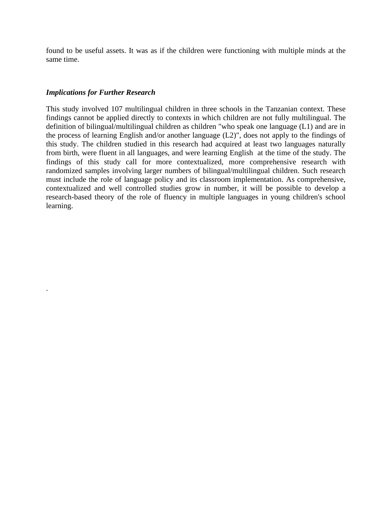found to be useful assets. It was as if the children were functioning with multiple minds at the same time.

#### *Implications for Further Research*

.

This study involved 107 multilingual children in three schools in the Tanzanian context. These findings cannot be applied directly to contexts in which children are not fully multilingual. The definition of bilingual/multilingual children as children "who speak one language (L1) and are in the process of learning English and/or another language (L2)", does not apply to the findings of this study. The children studied in this research had acquired at least two languages naturally from birth, were fluent in all languages, and were learning English at the time of the study. The findings of this study call for more contextualized, more comprehensive research with randomized samples involving larger numbers of bilingual/multilingual children. Such research must include the role of language policy and its classroom implementation. As comprehensive, contextualized and well controlled studies grow in number, it will be possible to develop a research-based theory of the role of fluency in multiple languages in young children's school learning.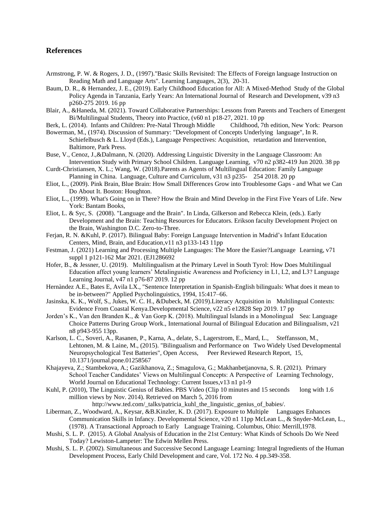#### **References**

- Armstrong, P. W. & Rogers, J. D., (1997)."Basic Skills Revisited: The Effects of Foreign language Instruction on Reading Math and Language Arts". Learning Languages, 2(3), 20-31.
- Baum, D. R., & Hernandez, J. E., (2019). Early Childhood Education for All: A Mixed-Method Study of the Global Policy Agenda in Tanzania[, Early Years: An International Journal of Research and Development,](javascript:__doLinkPostBack() v39 n3 p260-275 2019. 16 pp
- Blair, A., &Haneda, M. (2021). Toward Collaborative Partnerships: Lessons from Parents and Teachers of Emergent Bi/Multilingual Students, Theory into Practice, (v60 n1 p18-27, 2021. 10 pp
- Berk, L. (2014). Infants and Children: Pre-Natal Through Middle Childhood, 7th edition, New York: Pearson
- Bowerman, M., (1974). Discussion of Summary: "Development of Concepts Underlying language", In R. Schiefelbusch & L. Lloyd (Eds.), Language Perspectives: Acquisition, retardation and Intervention, Baltimore, Park Press.
- Buse, V., Cenoz, J.,&Dalmann, N. (2020). Addressing Linguistic Diversity in the Language Classroom: An Intervention Study with Primary School Children. [Language Learning,](javascript:__doLinkPostBack() v70 n2 p382-419 Jun 2020. 38 pp
- Curdt-Christiansen, X. L.; [Wang, W.](javascript:__doLinkPostBack() (2018).Parents as Agents of Multilingual Education: Family Language Planning in China. [Language, Culture and Curriculum,](javascript:__doLinkPostBack() v31 n3 p235- 254 2018. 20 pp
- Eliot, L., (2009). Pink Brain, Blue Brain: How Small Differences Grow into Troublesome Gaps and What we Can Do About It. Boston: Houghton.
- Eliot, L., (1999). What's Going on in There? How the Brain and Mind Develop in the First Five Years of Life. New York: Bantam Books,
- Eliot, L. & Syc, S. (2008). "Language and the Brain". In Linda, Gilkerson and Rebecca Klein, (eds.). Early Development and the Brain: Teaching Resources for Educators. Erikson faculty Development Project on the Brain, Washington D.C. Zero-to-Three.
- Ferjan, R. N. &Kuhl, P. (2017). Bilingual Baby: Foreign Language Intervention in Madrid's Infant Education Centers, Mind, Brain, and Education,v11 n3 p133-143 11pp
- Festman, J. (2021) Learning and Processing Multiple Languages: The More the Easier?Language Learning, v71 suppl 1 p121-162 Mar 2021. (EJ1286692
- Hofer, B., & Jessner, U. (2019). Multilingualism at the Primary Level in South Tyrol: How Does Multilingual Education affect young learners' Metalinguistic Awareness and Proficiency in L1, L2, and L3? Language Learning Journal, v47 n1 p76-87 2019. 12 pp
- Hernàndez A.E., Bates E, Avila LX., "Sentence Interpretation in Spanish-English bilinguals: What does it mean to be in-between?" Applied Psycholinguistics, 1994, 15:417–66.
- Jasinska, K. K., Wolf, S., Jukes, W. C. H., &Dubeck, M. (2019).Literacy Acquisition in Multilingual Contexts: Evidence From Coastal Kenya[.Developmental Science,](javascript:__doLinkPostBack() v22 n5 e12828 Sep 2019. 17 pp
- Jorden's K., Van den Branden K., & Van Gorp K. (2018). Multilingual Islands in a Monolingual Sea: Language Choice Patterns During Group Work., International Journal of Bilingual Education and Bilingualism, v21 n8 p943-955 13pp.
- Karlson, L. C., Soveri, A., Rasanen, P., Karna, A., delate, S., Lagerstrom, E., Mard, L., Steffansson, M., Lehtonen, M. & Laine, M., (2015). "Bilingualism and Performance on Two Widely Used Developmental Neuropsychological Test Batteries", Open Access, Peer Reviewed Research Report, 15, 10.1371/journal.pone.01258567
- Khajayeva, Z.; Stambekova, A.; Gazikhanova, Z.; Smagulova, G.; Makhanbetjanovna, S. R. (2021). Primary School Teacher Candidates' Views on Multilingual Concepts: A Perspective of Learning Technology, [World Journal on Educational Technology: Current Issues,v](javascript:__doLinkPostBack()13 n1 p1-9
- Kuhl, P. (2010), The Linguistic Genius of Babies. PBS Video (Clip 10 minutes and 15 seconds long with 1.6 million views by Nov. 2014). Retrieved on March 5, 2016 from
	- http://www.ted.com/\_talks/patricia\_kuhl\_the\_linguistic\_genius\_of\_babies/.
- Liberman, Z., Woodward, A., Keysar, &B.Kinzler, K. D. (2017). Exposure to Multiple Languages Enhances Communication Skills in Infancy. Developmental Science, v20 n1 11pp McLean L., & Snyder-McLean, L., (1978). A Transactional Approach to Early Language Training. Columbus, Ohio: Merrill,1978.
- Mushi, S. L. P. (2015). A Global Analysis of Education in the 21st Century: What Kinds of Schools Do We Need Today? Lewiston-Lampeter: The Edwin Mellen Press.
- Mushi, S. L. P. (2002). Simultaneous and Successive Second Language Learning: Integral Ingredients of the Human Development Process, Early Child Development and care, Vol. 172 No. 4 pp.349-358.